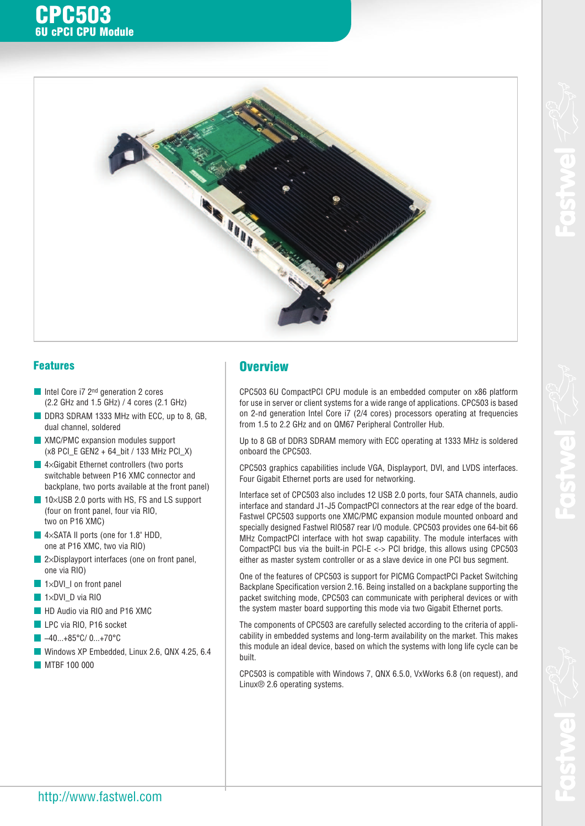



#### **Features**

**CPC503**

**6U cPCI CPU Module**

- Intel Core i7 2<sup>nd</sup> generation 2 cores (2.2 GHz and 1.5 GHz) / 4 cores (2.1 GHz)
- DDR3 SDRAM 1333 MHz with ECC, up to 8, GB, dual channel, soldered
- XMC/PMC expansion modules support (x8 PCI\_E GEN2 + 64\_bit / 133 MHz PCI\_X)
- $\blacksquare$  4×Gigabit Ethernet controllers (two ports switchable between P16 XMC connector and backplane, two ports available at the front panel)
- $\blacksquare$  10×USB 2.0 ports with HS, FS and LS support (four on front panel, four via RIO, two on P16 XMC)
- 4×SATA II ports (one for 1.8" HDD, one at P16 XMC, two via RIO)
- $\blacksquare$  2×Displayport interfaces (one on front panel, one via RIO)
- $\blacksquare$  1×DVI I on front panel
- $\blacksquare$  1×DVI\_D via RIO
- **HD** Audio via RIO and P16 XMC
- LPC via RIO, P16 socket
- -40...+85°C/ 0...+70°C
- Windows XP Embedded, Linux 2.6, QNX 4.25, 6.4
- **MTBF 100 000**

# **Overview**

CPC503 6U CompactPCI CPU module is an embedded computer on x86 platform for use in server or client systems for a wide range of applications. CPC503 is based on 2-nd generation Intel Core i7 (2/4 cores) processors operating at frequencies from 1.5 to 2.2 GHz and on QM67 Peripheral Controller Hub.

Up to 8 GB of DDR3 SDRAM memory with ECC operating at 1333 MHz is soldered onboard the CPC503.

CPC503 graphics capabilities include VGA, Displayport, DVI, and LVDS interfaces. Four Gigabit Ethernet ports are used for networking.

Interface set of CPC503 also includes 12 USB 2.0 ports, four SATA channels, audio interface and standard J1-J5 CompactPCI connectors at the rear edge of the board. Fastwel CPC503 supports one XMC/PMC expansion module mounted onboard and specially designed Fastwel RIO587 rear I/O module. CPC503 provides one 64-bit 66 MHz CompactPCI interface with hot swap capability. The module interfaces with CompactPCI bus via the built-in PCI-E <-> PCI bridge, this allows using CPC503 either as master system controller or as a slave device in one PCI bus segment.

One of the features of CPC503 is support for PICMG CompactPCI Packet Switching Backplane Specification version 2.16. Being installed on a backplane supporting the packet switching mode, CPC503 can communicate with peripheral devices or with the system master board supporting this mode via two Gigabit Ethernet ports.

The components of CPC503 are carefully selected according to the criteria of applicability in embedded systems and long-term availability on the market. This makes this module an ideal device, based on which the systems with long life cycle can be built.

CPC503 is compatible with Windows 7, QNX 6.5.0, VxWorks 6.8 (on request), and Linux® 2.6 operating systems.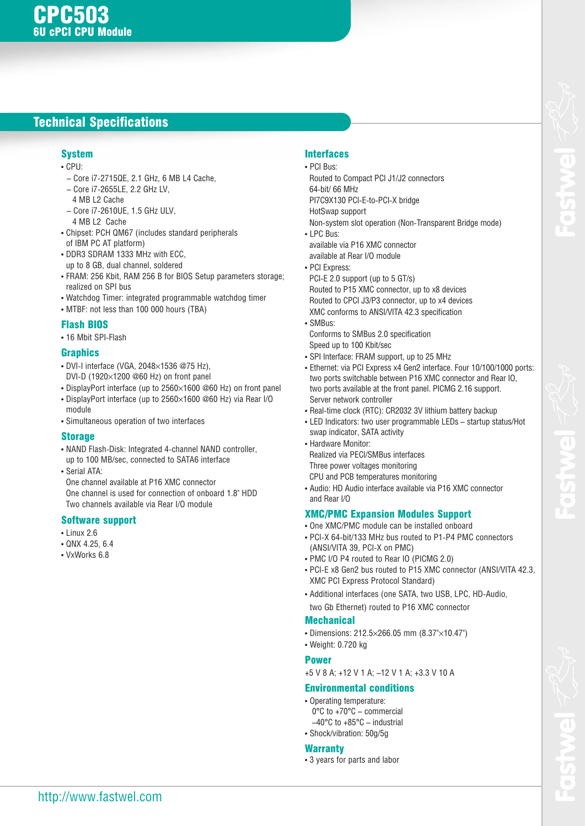# **Technical Specifications**

### **System**

- CPU:
- Core i7 2715QE, 2.1 GHz, 6 MB L4 Cache,
- Core i7 2655LE, 2.2 GHz LV,
- 4 MB L2 Cache
- Core i7 2610UE, 1.5 GHz ULV,
- 4 MB L2 Cache
- Chipset: PCH QM67 (includes standard peripherals of IBM PC AT platform)
- DDR3 SDRAM 1333 MHz with ECC, up to 8 GB, dual channel, soldered
- FRAM: 256 Kbit, RAM 256 B for BIOS Setup parameters storage; realized on SPI bus
- Watchdog Timer: integrated programmable watchdog timer
- MTBF: not less than 100 000 hours (TBA)

#### **Flash BIOS**

• 16 Mbit SPI-Flash

#### **Graphics**

- $\cdot$  DVI-I interface (VGA, 2048 $\times$ 1536 @75 Hz), DVI-D (1920 $\times$ 1200 @60 Hz) on front panel
- DisplayPort interface (up to 2560×1600 @60 Hz) on front panel
- DisplayPort interface (up to 2560×1600 @60 Hz) via Rear I/O module
- Simultaneous operation of two interfaces

#### **Storage**

- NAND Flash-Disk: Integrated 4-channel NAND controller, up to 100 MB/sec, connected to SATA6 interface
- Serial ATA:

One channel available at P16 XMC connector One channel is used for connection of onboard 1.8" HDD Two channels available via Rear I/O module

#### **Software support**

- Linux 2.6
- QNX 4.25, 6.4
- VxWorks 6.8

### **Interfaces**

- PCI Bus:
- Routed to Compact PCI J1/J2 connectors 64 bit/ 66 MHz
- PI7C9X130 PCI-E-to-PCI-X bridge
- HotSwap support

Non-system slot operation (Non-Transparent Bridge mode)

• LPC Bus:

available via P16 XMC connector available at Rear I/O module

• PCI Express:

PCI-E 2.0 support (up to 5 GT/s) Routed to P15 XMC connector, up to x8 devices Routed to CPCI J3/P3 connector, up to х4 devices XMC conforms to ANSI/VITA 42.3 specification

- SMBus:
- Conforms to SMBus 2.0 specification Speed up to 100 Kbit/sec
- SPI Interface: FRAM support, up to 25 MHz
- Ethernet: via PCI Express x4 Gen2 interface. Four 10/100/1000 ports: two ports switchable between P16 XMC connector and Rear IO, two ports available at the front panel. PICMG 2.16 support. Server network controller
- Real-time clock (RTC): CR2032 3V lithium battery backup
- LED Indicators: two user programmable LEDs startup status/Hot swap indicator, SATA activity
- Hardware Monitor: Realized via PECI/SMBus interfaces Three power voltages monitoring
- CPU and PCB temperatures monitoring
- Audio: HD Audio interface available via P16 XMC connector and Rear I/O

### **XMC/PMC Expansion Modules Support**

- One XMC/PMC module can be installed onboard
- PCI-X 64-bit/133 MHz bus routed to P1-P4 PMC connectors (ANSI/VITA 39, PCI-X on PMC)
- PMC I/O P4 routed to Rear IO (PICMG 2.0)
- PCI-E x8 Gen2 bus routed to P15 XMC connector (ANSI/VITA 42.3, XMC PCI Express Protocol Standard)
- Additional interfaces (one SATA, two USB, LPC, HD-Audio, two Gb Ethernet) routed to P16 XMC connector

**Mechanical**

- Dimensions: 212.5×266.05 mm (8.37"×10.47")
- Weight: 0.720 kg

### **Power**

+5 V 8 A; +12 V 1 A; –12 V 1 A; +3.3 V 10 A

#### **Environmental conditions**

- Operating temperature: 0°C to +70°C – commercial –40°C to +85°C – industrial
- Shock/vibration: 50g/5g

### **Warranty**

• 3 years for parts and labor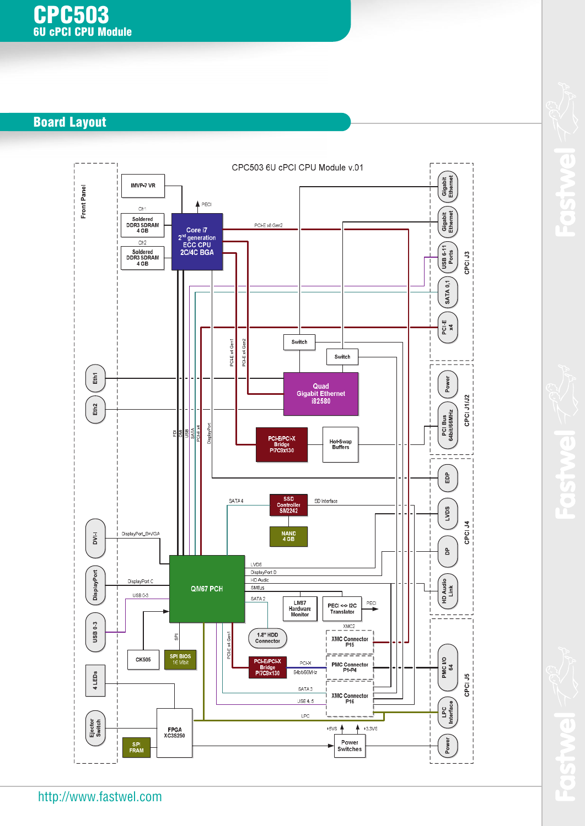# **Board Layout**



 $\overline{\phantom{a}}$ 

 $\bigcirc$ 

E

 $\mathbf{r}$